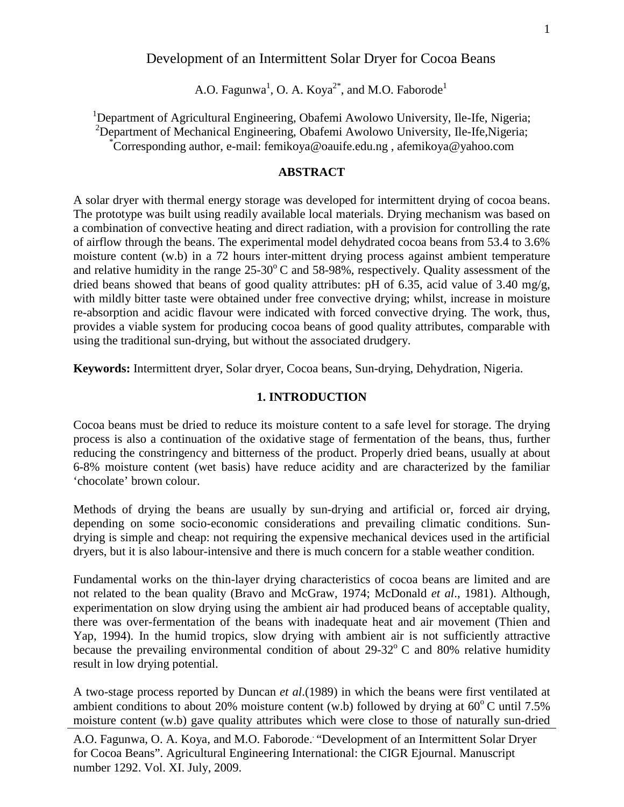### Development of an Intermittent Solar Dryer for Cocoa Beans

A.O. Fagunwa<sup>1</sup>, O. A. Koya<sup>2\*</sup>, and M.O. Faborode<sup>1</sup>

<sup>1</sup>Department of Agricultural Engineering, Obafemi Awolowo University, Ile-Ife, Nigeria;<br><sup>2</sup>Department of Mechanical Engineering, Obafemi Awolowo University, Ile-Ife Nigeria;  $\mu^2$ Department of Mechanical Engineering, Obafemi Awolowo University, Ile-Ife, Nigeria; Corresponding author, e-mail: femikoya@oauife.edu.ng , afemikoya@yahoo.com

#### **ABSTRACT**

A solar dryer with thermal energy storage was developed for intermittent drying of cocoa beans. The prototype was built using readily available local materials. Drying mechanism was based on a combination of convective heating and direct radiation, with a provision for controlling the rate of airflow through the beans. The experimental model dehydrated cocoa beans from 53.4 to 3.6% moisture content (w.b) in a 72 hours inter-mittent drying process against ambient temperature and relative humidity in the range  $25{\text -}30^{\circ}$  C and 58-98%, respectively. Quality assessment of the dried beans showed that beans of good quality attributes: pH of 6.35, acid value of 3.40 mg/g, with mildly bitter taste were obtained under free convective drying; whilst, increase in moisture re-absorption and acidic flavour were indicated with forced convective drying. The work, thus, provides a viable system for producing cocoa beans of good quality attributes, comparable with using the traditional sun-drying, but without the associated drudgery.

**Keywords:** Intermittent dryer, Solar dryer, Cocoa beans, Sun-drying, Dehydration, Nigeria.

#### **1. INTRODUCTION**

Cocoa beans must be dried to reduce its moisture content to a safe level for storage. The drying process is also a continuation of the oxidative stage of fermentation of the beans, thus, further reducing the constringency and bitterness of the product. Properly dried beans, usually at about 6-8% moisture content (wet basis) have reduce acidity and are characterized by the familiar 'chocolate' brown colour.

Methods of drying the beans are usually by sun-drying and artificial or, forced air drying, depending on some socio-economic considerations and prevailing climatic conditions. Sundrying is simple and cheap: not requiring the expensive mechanical devices used in the artificial dryers, but it is also labour-intensive and there is much concern for a stable weather condition.

Fundamental works on the thin-layer drying characteristics of cocoa beans are limited and are not related to the bean quality (Bravo and McGraw, 1974; McDonald *et al*., 1981). Although, experimentation on slow drying using the ambient air had produced beans of acceptable quality, there was over-fermentation of the beans with inadequate heat and air movement (Thien and Yap, 1994). In the humid tropics, slow drying with ambient air is not sufficiently attractive because the prevailing environmental condition of about  $29-32^{\circ}$  C and 80% relative humidity result in low drying potential.

A two-stage process reported by Duncan *et al*.(1989) in which the beans were first ventilated at ambient conditions to about 20% moisture content (w.b) followed by drying at  $60^{\circ}$ C until 7.5% moisture content (w.b) gave quality attributes which were close to those of naturally sun-dried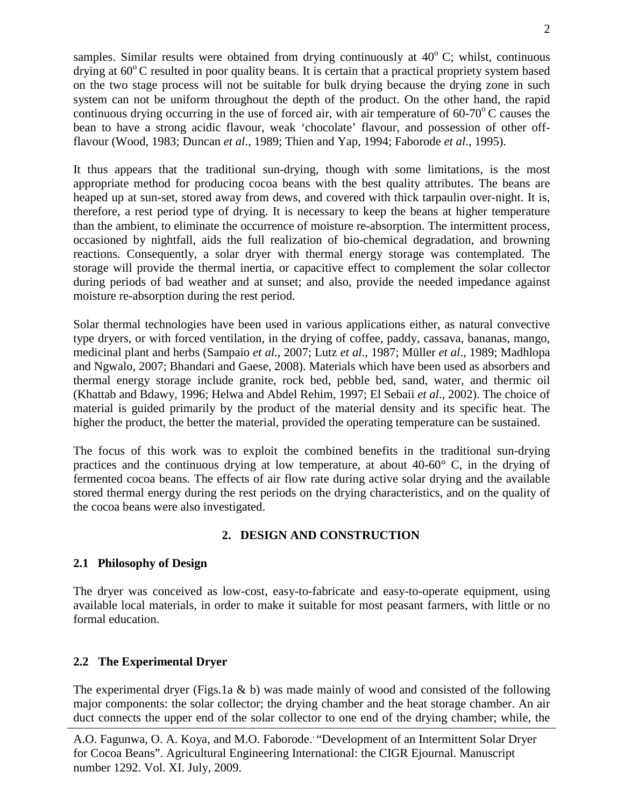samples. Similar results were obtained from drying continuously at  $40^{\circ}$  C; whilst, continuous drying at  $60^{\circ}$ C resulted in poor quality beans. It is certain that a practical propriety system based on the two stage process will not be suitable for bulk drying because the drying zone in such system can not be uniform throughout the depth of the product. On the other hand, the rapid continuous drying occurring in the use of forced air, with air temperature of  $60-70^{\circ}$ C causes the bean to have a strong acidic flavour, weak 'chocolate' flavour, and possession of other offflavour (Wood, 1983; Duncan *et al*., 1989; Thien and Yap, 1994; Faborode *et al*., 1995).

It thus appears that the traditional sun-drying, though with some limitations, is the most appropriate method for producing cocoa beans with the best quality attributes. The beans are heaped up at sun-set, stored away from dews, and covered with thick tarpaulin over-night. It is, therefore, a rest period type of drying. It is necessary to keep the beans at higher temperature than the ambient, to eliminate the occurrence of moisture re-absorption. The intermittent process, occasioned by nightfall, aids the full realization of bio-chemical degradation, and browning reactions. Consequently, a solar dryer with thermal energy storage was contemplated. The storage will provide the thermal inertia, or capacitive effect to complement the solar collector during periods of bad weather and at sunset; and also, provide the needed impedance against moisture re-absorption during the rest period.

Solar thermal technologies have been used in various applications either, as natural convective type dryers, or with forced ventilation, in the drying of coffee, paddy, cassava, bananas, mango, medicinal plant and herbs (Sampaio *et al*., 2007; Lutz *et al*., 1987; Müller *et al*., 1989; Madhlopa and Ngwalo, 2007; Bhandari and Gaese, 2008). Materials which have been used as absorbers and thermal energy storage include granite, rock bed, pebble bed, sand, water, and thermic oil (Khattab and Bdawy, 1996; Helwa and Abdel Rehim, 1997; El Sebaii *et al*., 2002). The choice of material is guided primarily by the product of the material density and its specific heat. The higher the product, the better the material, provided the operating temperature can be sustained.

The focus of this work was to exploit the combined benefits in the traditional sun-drying practices and the continuous drying at low temperature, at about 40-60° C, in the drying of fermented cocoa beans. The effects of air flow rate during active solar drying and the available stored thermal energy during the rest periods on the drying characteristics, and on the quality of the cocoa beans were also investigated.

# **2. DESIGN AND CONSTRUCTION**

# **2.1 Philosophy of Design**

The dryer was conceived as low-cost, easy-to-fabricate and easy-to-operate equipment, using available local materials, in order to make it suitable for most peasant farmers, with little or no formal education.

# **2.2 The Experimental Dryer**

The experimental dryer (Figs.1a  $\&$  b) was made mainly of wood and consisted of the following major components: the solar collector; the drying chamber and the heat storage chamber. An air duct connects the upper end of the solar collector to one end of the drying chamber; while, the

A.O. Fagunwa, O. A. Koya, and M.O. Faborode. . "Development of an Intermittent Solar Dryer for Cocoa Beans". Agricultural Engineering International: the CIGR Ejournal. Manuscript number 1292. Vol. XI. July, 2009.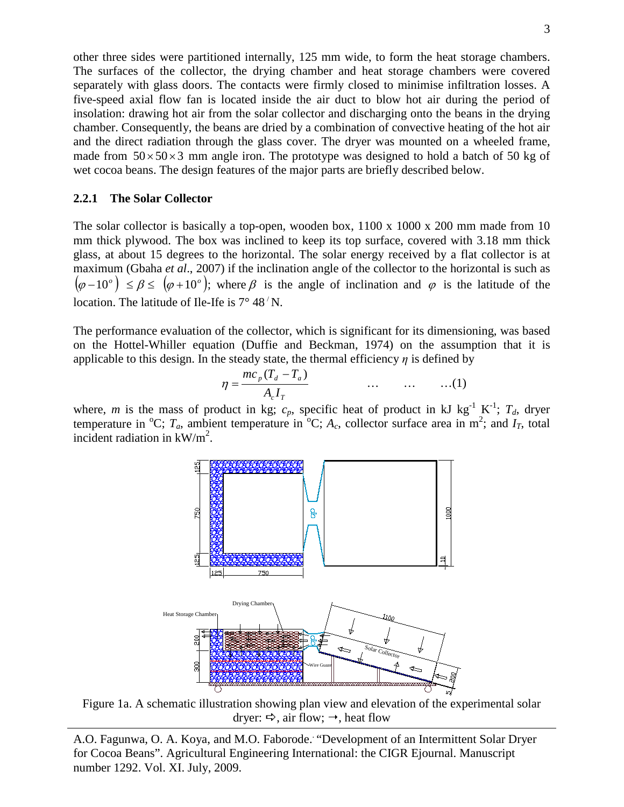other three sides were partitioned internally, 125 mm wide, to form the heat storage chambers. The surfaces of the collector, the drying chamber and heat storage chambers were covered separately with glass doors. The contacts were firmly closed to minimise infiltration losses. A five-speed axial flow fan is located inside the air duct to blow hot air during the period of insolation: drawing hot air from the solar collector and discharging onto the beans in the drying chamber. Consequently, the beans are dried by a combination of convective heating of the hot air and the direct radiation through the glass cover. The dryer was mounted on a wheeled frame, made from  $50 \times 50 \times 3$  mm angle iron. The prototype was designed to hold a batch of 50 kg of wet cocoa beans. The design features of the major parts are briefly described below.

#### **2.2.1 The Solar Collector**

The solar collector is basically a top-open, wooden box, 1100 x 1000 x 200 mm made from 10 mm thick plywood. The box was inclined to keep its top surface, covered with 3.18 mm thick glass, at about 15 degrees to the horizontal. The solar energy received by a flat collector is at maximum (Gbaha *et al*., 2007) if the inclination angle of the collector to the horizontal is such as  $(\varphi - 10^{\circ}) \le \beta \le (\varphi + 10^{\circ})$ ; where  $\beta$  is the angle of inclination and  $\varphi$  is the latitude of the location. The latitude of Ile-Ife is  $7^{\circ}$  48  $^{\prime}$  N.

The performance evaluation of the collector, which is significant for its dimensioning, was based on the Hottel-Whiller equation (Duffie and Beckman, 1974) on the assumption that it is applicable to this design. In the steady state, the thermal efficiency  $\eta$  is defined by

$$
\eta = \frac{mc_p(T_d - T_a)}{A_c I_T} \qquad \qquad \dots \qquad \dots \qquad \dots (1)
$$

where, *m* is the mass of product in kg;  $c_p$ , specific heat of product in kJ kg<sup>-1</sup> K<sup>-1</sup>;  $T_d$ , dryer temperature in <sup>o</sup>C;  $T_a$ , ambient temperature in <sup>o</sup>C;  $A_c$ , collector surface area in m<sup>2</sup>; and  $I_T$ , total incident radiation in  $kW/m^2$ .



Figure 1a. A schematic illustration showing plan view and elevation of the experimental solar dryer:  $\Rightarrow$ , air flow;  $\rightarrow$ , heat flow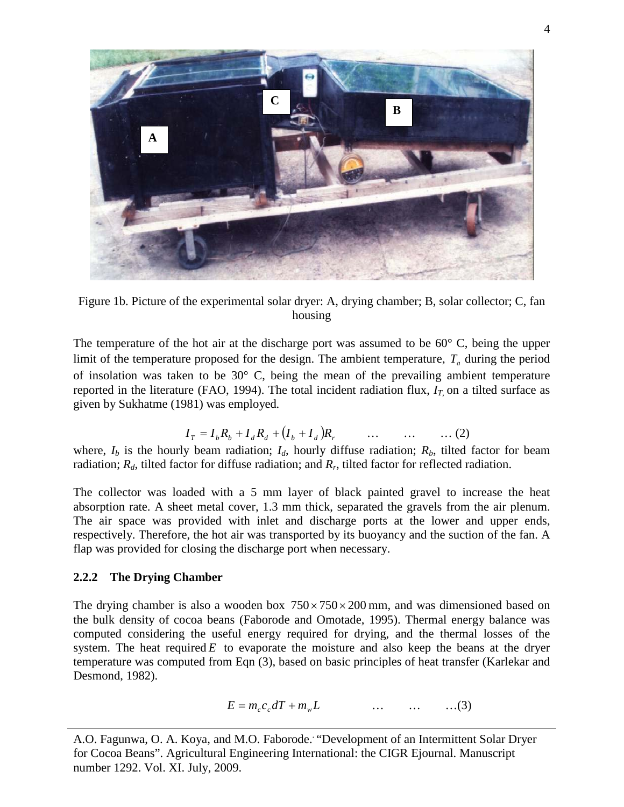

Figure 1b. Picture of the experimental solar dryer: A, drying chamber; B, solar collector; C, fan housing

The temperature of the hot air at the discharge port was assumed to be 60° C, being the upper limit of the temperature proposed for the design. The ambient temperature,  $T_a$  during the period of insolation was taken to be 30° C, being the mean of the prevailing ambient temperature reported in the literature (FAO, 1994). The total incident radiation flux,  $I_T$  on a tilted surface as given by Sukhatme (1981) was employed.

$$
I_T = I_b R_b + I_d R_d + (I_b + I_d) R_r \qquad \dots \qquad \dots \qquad \dots \tag{2}
$$

where,  $I_b$  is the hourly beam radiation;  $I_d$ , hourly diffuse radiation;  $R_b$ , tilted factor for beam radiation; *Rd*, tilted factor for diffuse radiation; and *Rr*, tilted factor for reflected radiation.

The collector was loaded with a 5 mm layer of black painted gravel to increase the heat absorption rate. A sheet metal cover, 1.3 mm thick, separated the gravels from the air plenum. The air space was provided with inlet and discharge ports at the lower and upper ends, respectively. Therefore, the hot air was transported by its buoyancy and the suction of the fan. A flap was provided for closing the discharge port when necessary.

### **2.2.2 The Drying Chamber**

The drying chamber is also a wooden box  $750 \times 750 \times 200$  mm, and was dimensioned based on the bulk density of cocoa beans (Faborode and Omotade, 1995). Thermal energy balance was computed considering the useful energy required for drying, and the thermal losses of the system. The heat required  $E$  to evaporate the moisture and also keep the beans at the dryer temperature was computed from Eqn (3), based on basic principles of heat transfer (Karlekar and Desmond, 1982).

$$
E = m_c c_c dT + m_w L \qquad \qquad \dots \qquad \dots \qquad \dots (3)
$$

A.O. Fagunwa, O. A. Koya, and M.O. Faborode. . "Development of an Intermittent Solar Dryer for Cocoa Beans". Agricultural Engineering International: the CIGR Ejournal. Manuscript number 1292. Vol. XI. July, 2009.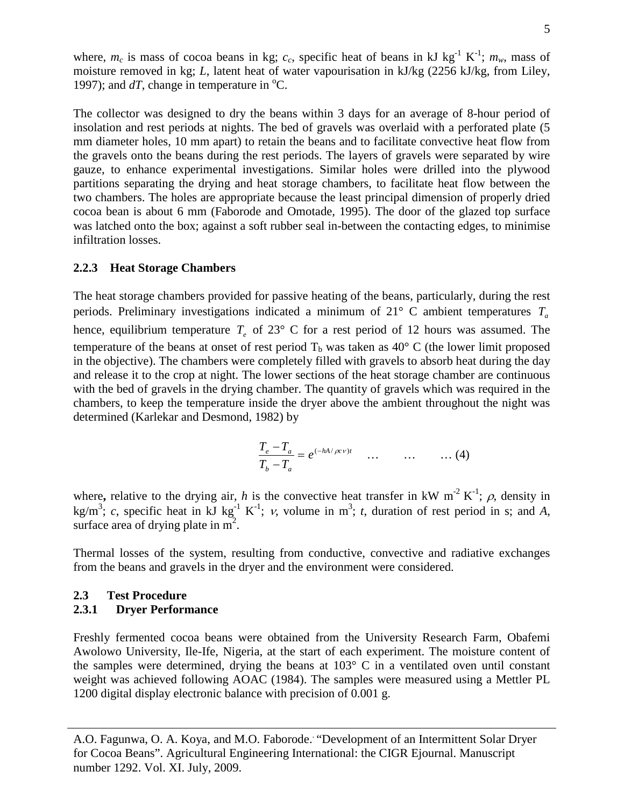where,  $m_c$  is mass of cocoa beans in kg;  $c_c$ , specific heat of beans in kJ kg<sup>-1</sup> K<sup>-1</sup>;  $m_w$ , mass of moisture removed in kg; *L*, latent heat of water vapourisation in kJ/kg (2256 kJ/kg, from Liley, 1997); and  $dT$ , change in temperature in  $^{\circ}$ C.

The collector was designed to dry the beans within 3 days for an average of 8-hour period of insolation and rest periods at nights. The bed of gravels was overlaid with a perforated plate (5 mm diameter holes, 10 mm apart) to retain the beans and to facilitate convective heat flow from the gravels onto the beans during the rest periods. The layers of gravels were separated by wire gauze, to enhance experimental investigations. Similar holes were drilled into the plywood partitions separating the drying and heat storage chambers, to facilitate heat flow between the two chambers. The holes are appropriate because the least principal dimension of properly dried cocoa bean is about 6 mm (Faborode and Omotade, 1995). The door of the glazed top surface was latched onto the box; against a soft rubber seal in-between the contacting edges, to minimise infiltration losses.

#### **2.2.3 Heat Storage Chambers**

The heat storage chambers provided for passive heating of the beans, particularly, during the rest periods. Preliminary investigations indicated a minimum of  $21^{\circ}$  C ambient temperatures  $T_a$ hence, equilibrium temperature  $T_e$  of 23° C for a rest period of 12 hours was assumed. The temperature of the beans at onset of rest period  $T_b$  was taken as 40 $\degree$  C (the lower limit proposed in the objective). The chambers were completely filled with gravels to absorb heat during the day and release it to the crop at night. The lower sections of the heat storage chamber are continuous with the bed of gravels in the drying chamber. The quantity of gravels which was required in the chambers, to keep the temperature inside the dryer above the ambient throughout the night was determined (Karlekar and Desmond, 1982) by

$$
\frac{T_e - T_a}{T_b - T_a} = e^{(-hA/\rho c \nu)t} \quad \dots \quad \dots \quad \dots (4)
$$

where, relative to the drying air, *h* is the convective heat transfer in kW m<sup>-2</sup> K<sup>-1</sup>;  $\rho$ , density in kg/m<sup>3</sup>; *c*, specific heat in kJ kg<sup>-1</sup> K<sup>-1</sup>; *v*, volume in m<sup>3</sup>; *t*, duration of rest period in s; and *A*, surface area of drying plate in  $m^2$ .

Thermal losses of the system, resulting from conductive, convective and radiative exchanges from the beans and gravels in the dryer and the environment were considered.

#### **2.3 Test Procedure**

#### **2.3.1 Dryer Performance**

Freshly fermented cocoa beans were obtained from the University Research Farm, Obafemi Awolowo University, Ile-Ife, Nigeria, at the start of each experiment. The moisture content of the samples were determined, drying the beans at 103° C in a ventilated oven until constant weight was achieved following AOAC (1984). The samples were measured using a Mettler PL 1200 digital display electronic balance with precision of 0.001 g.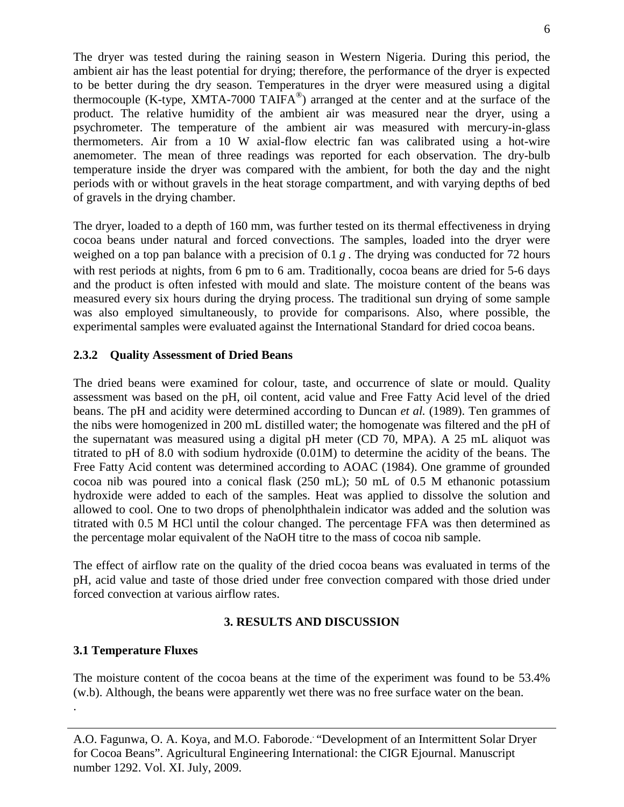The dryer was tested during the raining season in Western Nigeria. During this period, the ambient air has the least potential for drying; therefore, the performance of the dryer is expected to be better during the dry season. Temperatures in the dryer were measured using a digital thermocouple (K-type, XMTA-7000 TAIFA®) arranged at the center and at the surface of the product. The relative humidity of the ambient air was measured near the dryer, using a psychrometer. The temperature of the ambient air was measured with mercury-in-glass thermometers. Air from a 10 W axial-flow electric fan was calibrated using a hot-wire anemometer. The mean of three readings was reported for each observation. The dry-bulb temperature inside the dryer was compared with the ambient, for both the day and the night periods with or without gravels in the heat storage compartment, and with varying depths of bed of gravels in the drying chamber.

The dryer, loaded to a depth of 160 mm, was further tested on its thermal effectiveness in drying cocoa beans under natural and forced convections. The samples, loaded into the dryer were weighed on a top pan balance with a precision of 0.1 *g*. The drying was conducted for 72 hours with rest periods at nights, from 6 pm to 6 am. Traditionally, cocoa beans are dried for 5-6 days and the product is often infested with mould and slate. The moisture content of the beans was measured every six hours during the drying process. The traditional sun drying of some sample was also employed simultaneously, to provide for comparisons. Also, where possible, the experimental samples were evaluated against the International Standard for dried cocoa beans.

### **2.3.2 Quality Assessment of Dried Beans**

The dried beans were examined for colour, taste, and occurrence of slate or mould. Quality assessment was based on the pH, oil content, acid value and Free Fatty Acid level of the dried beans. The pH and acidity were determined according to Duncan *et al.* (1989). Ten grammes of the nibs were homogenized in 200 mL distilled water; the homogenate was filtered and the pH of the supernatant was measured using a digital pH meter (CD 70, MPA). A 25 mL aliquot was titrated to pH of 8.0 with sodium hydroxide (0.01M) to determine the acidity of the beans. The Free Fatty Acid content was determined according to AOAC (1984). One gramme of grounded cocoa nib was poured into a conical flask (250 mL); 50 mL of 0.5 M ethanonic potassium hydroxide were added to each of the samples. Heat was applied to dissolve the solution and allowed to cool. One to two drops of phenolphthalein indicator was added and the solution was titrated with 0.5 M HCl until the colour changed. The percentage FFA was then determined as the percentage molar equivalent of the NaOH titre to the mass of cocoa nib sample.

The effect of airflow rate on the quality of the dried cocoa beans was evaluated in terms of the pH, acid value and taste of those dried under free convection compared with those dried under forced convection at various airflow rates.

# **3. RESULTS AND DISCUSSION**

### **3.1 Temperature Fluxes**

The moisture content of the cocoa beans at the time of the experiment was found to be 53.4% (w.b). Although, the beans were apparently wet there was no free surface water on the bean. .

A.O. Fagunwa, O. A. Koya, and M.O. Faborode. . "Development of an Intermittent Solar Dryer for Cocoa Beans". Agricultural Engineering International: the CIGR Ejournal. Manuscript number 1292. Vol. XI. July, 2009.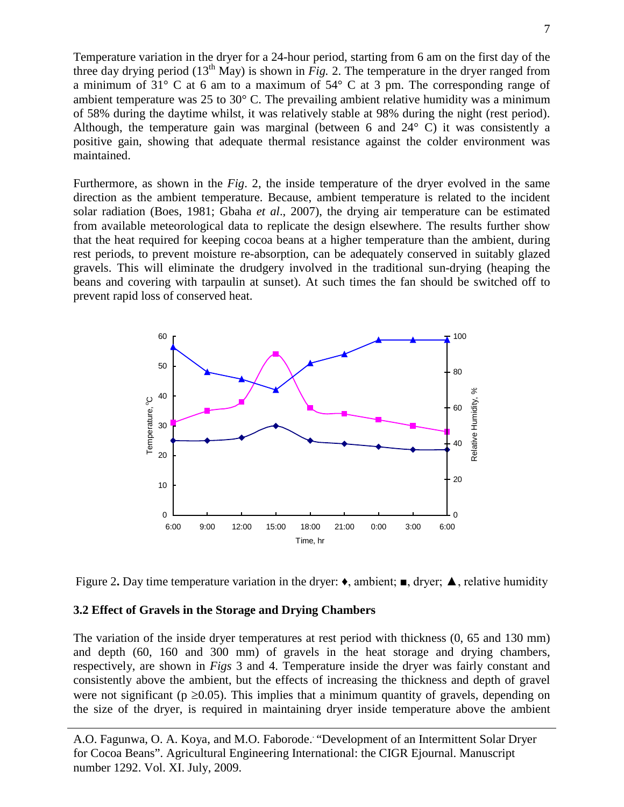Temperature variation in the dryer for a 24-hour period, starting from 6 am on the first day of the three day drying period  $(13<sup>th</sup>$  May) is shown in *Fig.* 2. The temperature in the dryer ranged from a minimum of 31° C at 6 am to a maximum of 54° C at 3 pm. The corresponding range of ambient temperature was 25 to 30° C. The prevailing ambient relative humidity was a minimum of 58% during the daytime whilst, it was relatively stable at 98% during the night (rest period). Although, the temperature gain was marginal (between 6 and 24° C) it was consistently a positive gain, showing that adequate thermal resistance against the colder environment was maintained.

Furthermore, as shown in the *Fig*. 2, the inside temperature of the dryer evolved in the same direction as the ambient temperature. Because, ambient temperature is related to the incident solar radiation (Boes, 1981; Gbaha *et al*., 2007), the drying air temperature can be estimated from available meteorological data to replicate the design elsewhere. The results further show that the heat required for keeping cocoa beans at a higher temperature than the ambient, during rest periods, to prevent moisture re-absorption, can be adequately conserved in suitably glazed gravels. This will eliminate the drudgery involved in the traditional sun-drying (heaping the beans and covering with tarpaulin at sunset). At such times the fan should be switched off to prevent rapid loss of conserved heat.





#### **3.2 Effect of Gravels in the Storage and Drying Chambers**

The variation of the inside dryer temperatures at rest period with thickness (0, 65 and 130 mm) and depth (60, 160 and 300 mm) of gravels in the heat storage and drying chambers, respectively, are shown in *Figs* 3 and 4. Temperature inside the dryer was fairly constant and consistently above the ambient, but the effects of increasing the thickness and depth of gravel were not significant ( $p \ge 0.05$ ). This implies that a minimum quantity of gravels, depending on the size of the dryer, is required in maintaining dryer inside temperature above the ambient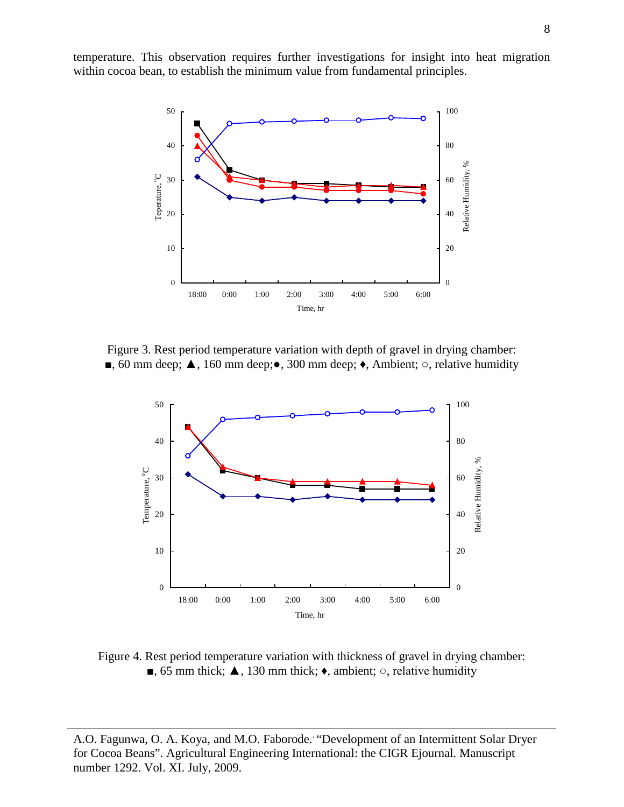temperature. This observation requires further investigations for insight into heat migration within cocoa bean, to establish the minimum value from fundamental principles.



Figure 3. Rest period temperature variation with depth of gravel in drying chamber: ■, 60 mm deep; ▲, 160 mm deep;●, 300 mm deep; ♦, Ambient; ○, relative humidity



Figure 4. Rest period temperature variation with thickness of gravel in drying chamber: ■, 65 mm thick;  $\triangle$ , 130 mm thick;  $\triangle$ , ambient;  $\circ$ , relative humidity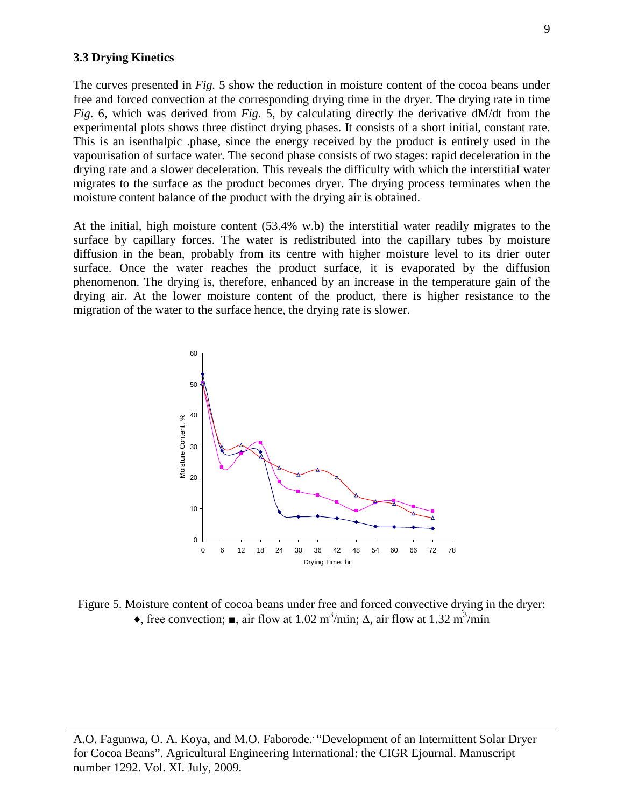#### **3.3 Drying Kinetics**

The curves presented in *Fig.* 5 show the reduction in moisture content of the cocoa beans under free and forced convection at the corresponding drying time in the dryer. The drying rate in time *Fig*. 6, which was derived from *Fig*. 5, by calculating directly the derivative dM/dt from the experimental plots shows three distinct drying phases. It consists of a short initial, constant rate. This is an isenthalpic .phase, since the energy received by the product is entirely used in the vapourisation of surface water. The second phase consists of two stages: rapid deceleration in the drying rate and a slower deceleration. This reveals the difficulty with which the interstitial water migrates to the surface as the product becomes dryer. The drying process terminates when the moisture content balance of the product with the drying air is obtained.

At the initial, high moisture content (53.4% w.b) the interstitial water readily migrates to the surface by capillary forces. The water is redistributed into the capillary tubes by moisture diffusion in the bean, probably from its centre with higher moisture level to its drier outer surface. Once the water reaches the product surface, it is evaporated by the diffusion phenomenon. The drying is, therefore, enhanced by an increase in the temperature gain of the drying air. At the lower moisture content of the product, there is higher resistance to the migration of the water to the surface hence, the drying rate is slower.



Figure 5. Moisture content of cocoa beans under free and forced convective drying in the dryer:  $\bullet$ , free convection;  $\blacksquare$ , air flow at 1.02 m<sup>3</sup>/min;  $\Delta$ , air flow at 1.32 m<sup>3</sup>/min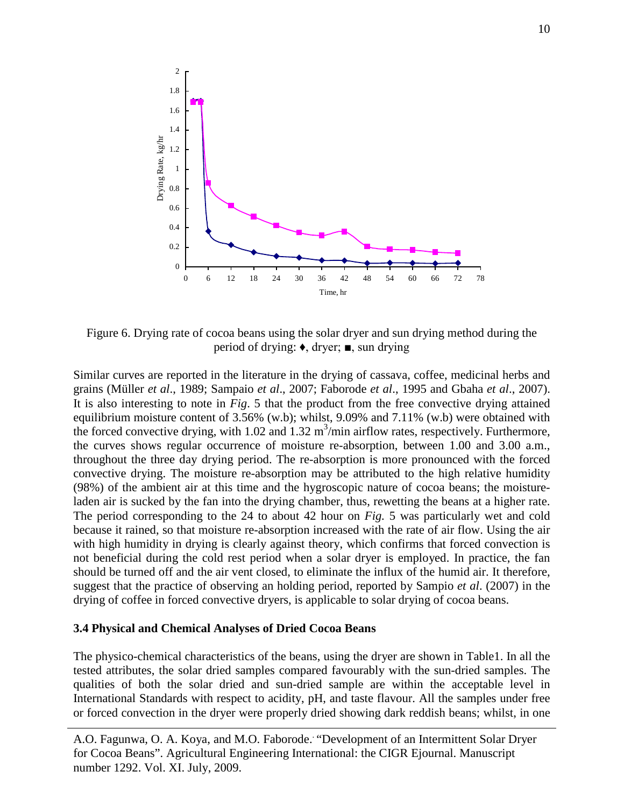

Figure 6. Drying rate of cocoa beans using the solar dryer and sun drying method during the period of drying: ♦, dryer; ■, sun drying

Similar curves are reported in the literature in the drying of cassava, coffee, medicinal herbs and grains (Müller *et al*., 1989; Sampaio *et al*., 2007; Faborode *et al*., 1995 and Gbaha *et al*., 2007). It is also interesting to note in *Fig*. 5 that the product from the free convective drying attained equilibrium moisture content of 3.56% (w.b); whilst, 9.09% and 7.11% (w.b) were obtained with the forced convective drying, with  $1.02$  and  $1.32$  m<sup>3</sup>/min airflow rates, respectively. Furthermore, the curves shows regular occurrence of moisture re-absorption, between 1.00 and 3.00 a.m., throughout the three day drying period. The re-absorption is more pronounced with the forced convective drying. The moisture re-absorption may be attributed to the high relative humidity (98%) of the ambient air at this time and the hygroscopic nature of cocoa beans; the moistureladen air is sucked by the fan into the drying chamber, thus, rewetting the beans at a higher rate. The period corresponding to the 24 to about 42 hour on *Fig.* 5 was particularly wet and cold because it rained, so that moisture re-absorption increased with the rate of air flow. Using the air with high humidity in drying is clearly against theory, which confirms that forced convection is not beneficial during the cold rest period when a solar dryer is employed. In practice, the fan should be turned off and the air vent closed, to eliminate the influx of the humid air. It therefore, suggest that the practice of observing an holding period, reported by Sampio *et al*. (2007) in the drying of coffee in forced convective dryers, is applicable to solar drying of cocoa beans.

#### **3.4 Physical and Chemical Analyses of Dried Cocoa Beans**

The physico-chemical characteristics of the beans, using the dryer are shown in Table1. In all the tested attributes, the solar dried samples compared favourably with the sun-dried samples. The qualities of both the solar dried and sun-dried sample are within the acceptable level in International Standards with respect to acidity, pH, and taste flavour. All the samples under free or forced convection in the dryer were properly dried showing dark reddish beans; whilst, in one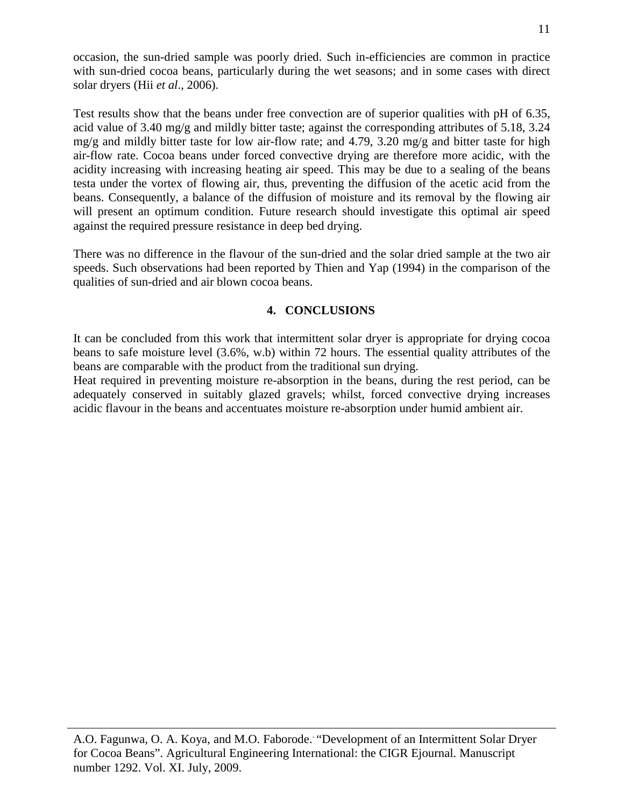occasion, the sun-dried sample was poorly dried. Such in-efficiencies are common in practice with sun-dried cocoa beans, particularly during the wet seasons; and in some cases with direct solar dryers (Hii *et al*., 2006).

Test results show that the beans under free convection are of superior qualities with pH of 6.35, acid value of 3.40 mg/g and mildly bitter taste; against the corresponding attributes of 5.18, 3.24 mg/g and mildly bitter taste for low air-flow rate; and 4.79, 3.20 mg/g and bitter taste for high air-flow rate. Cocoa beans under forced convective drying are therefore more acidic, with the acidity increasing with increasing heating air speed. This may be due to a sealing of the beans testa under the vortex of flowing air, thus, preventing the diffusion of the acetic acid from the beans. Consequently, a balance of the diffusion of moisture and its removal by the flowing air will present an optimum condition. Future research should investigate this optimal air speed against the required pressure resistance in deep bed drying.

There was no difference in the flavour of the sun-dried and the solar dried sample at the two air speeds. Such observations had been reported by Thien and Yap (1994) in the comparison of the qualities of sun-dried and air blown cocoa beans.

### **4. CONCLUSIONS**

It can be concluded from this work that intermittent solar dryer is appropriate for drying cocoa beans to safe moisture level (3.6%, w.b) within 72 hours. The essential quality attributes of the beans are comparable with the product from the traditional sun drying.

Heat required in preventing moisture re-absorption in the beans, during the rest period, can be adequately conserved in suitably glazed gravels; whilst, forced convective drying increases acidic flavour in the beans and accentuates moisture re-absorption under humid ambient air.

A.O. Fagunwa, O. A. Koya, and M.O. Faborode. . "Development of an Intermittent Solar Dryer for Cocoa Beans". Agricultural Engineering International: the CIGR Ejournal. Manuscript number 1292. Vol. XI. July, 2009.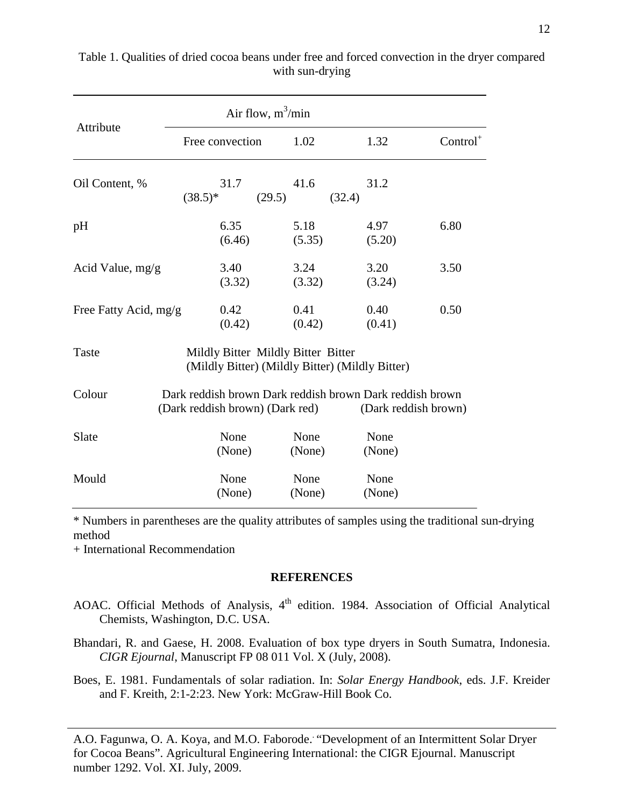| Attribute             | Air flow, $m^3/m$ in                                                                        |                |                      |            |
|-----------------------|---------------------------------------------------------------------------------------------|----------------|----------------------|------------|
|                       | Free convection                                                                             | 1.02           | 1.32                 | $Control+$ |
| Oil Content, %        | 31.7<br>$(38.5)*$                                                                           | 41.6<br>(29.5) | 31.2<br>(32.4)       |            |
| pH                    | 6.35<br>(6.46)                                                                              | 5.18<br>(5.35) | 4.97<br>(5.20)       | 6.80       |
| Acid Value, $mg/g$    | 3.40<br>(3.32)                                                                              | 3.24<br>(3.32) | 3.20<br>(3.24)       | 3.50       |
| Free Fatty Acid, mg/g | 0.42<br>(0.42)                                                                              | 0.41<br>(0.42) | 0.40<br>(0.41)       | 0.50       |
| Taste                 | Mildly Bitter Mildly Bitter Bitter<br>(Mildly Bitter) (Mildly Bitter) (Mildly Bitter)       |                |                      |            |
| Colour                | Dark reddish brown Dark reddish brown Dark reddish brown<br>(Dark reddish brown) (Dark red) |                | (Dark reddish brown) |            |
| Slate                 | None<br>(None)                                                                              | None<br>(None) | None<br>(None)       |            |
| Mould                 | None<br>(None)                                                                              | None<br>(None) | None<br>(None)       |            |

Table 1. Qualities of dried cocoa beans under free and forced convection in the dryer compared with sun-drying

\* Numbers in parentheses are the quality attributes of samples using the traditional sun-drying method

+ International Recommendation

### **REFERENCES**

- AOAC. Official Methods of Analysis, 4<sup>th</sup> edition. 1984. Association of Official Analytical Chemists, Washington, D.C. USA.
- Bhandari, R. and Gaese, H. 2008. Evaluation of box type dryers in South Sumatra, Indonesia. *CIGR Ejournal*, Manuscript FP 08 011 Vol. X (July, 2008).

Boes, E. 1981. Fundamentals of solar radiation. In: *Solar Energy Handbook*, eds. J.F. Kreider and F. Kreith, 2:1-2:23. New York: McGraw-Hill Book Co.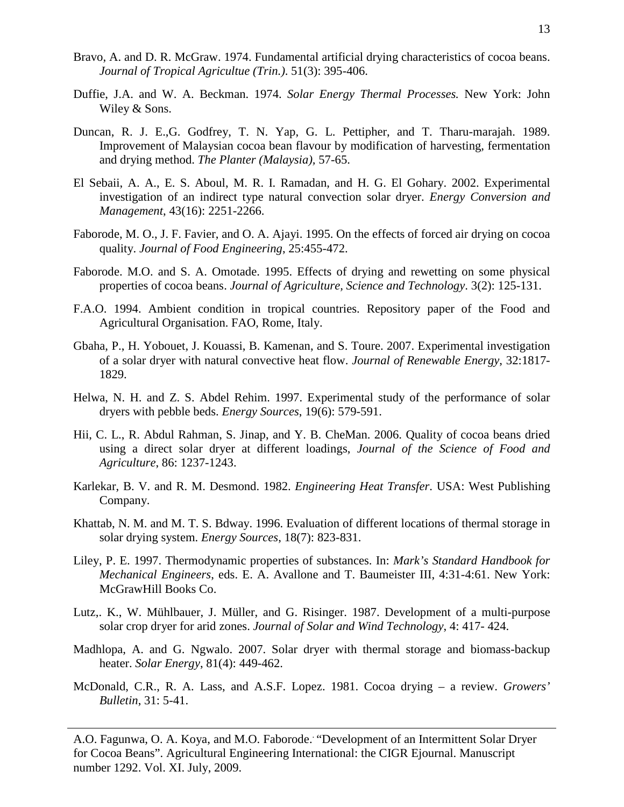- Bravo, A. and D. R. McGraw. 1974. Fundamental artificial drying characteristics of cocoa beans. *Journal of Tropical Agricultue (Trin.)*. 51(3): 395-406.
- Duffie, J.A. and W. A. Beckman. 1974. *Solar Energy Thermal Processes.* New York: John Wiley & Sons.
- Duncan, R. J. E.,G. Godfrey, T. N. Yap, G. L. Pettipher, and T. Tharu-marajah. 1989. Improvement of Malaysian cocoa bean flavour by modification of harvesting, fermentation and drying method. *The Planter (Malaysia),* 57-65.
- El Sebaii, A. A., E. S. Aboul, M. R. I. Ramadan, and H. G. El Gohary. 2002. Experimental investigation of an indirect type natural convection solar dryer. *Energy Conversion and Management*, 43(16): 2251-2266.
- Faborode, M. O., J. F. Favier, and O. A. Ajayi. 1995. On the effects of forced air drying on cocoa quality. *Journal of Food Engineering*, 25:455-472.
- Faborode. M.O. and S. A. Omotade. 1995. Effects of drying and rewetting on some physical properties of cocoa beans. *Journal of Agriculture, Science and Technology*. 3(2): 125-131.
- F.A.O. 1994. Ambient condition in tropical countries. Repository paper of the Food and Agricultural Organisation. FAO, Rome, Italy.
- Gbaha, P., H. Yobouet, J. Kouassi, B. Kamenan, and S. Toure. 2007. Experimental investigation of a solar dryer with natural convective heat flow. *Journal of Renewable Energy*, 32:1817- 1829.
- Helwa, N. H. and Z. S. Abdel Rehim. 1997. Experimental study of the performance of solar dryers with pebble beds. *Energy Sources*, 19(6): 579-591.
- Hii, C. L., R. Abdul Rahman, S. Jinap, and Y. B. CheMan. 2006. Quality of cocoa beans dried using a direct solar dryer at different loadings, *Journal of the Science of Food and Agriculture*, 86: 1237-1243.
- Karlekar, B. V. and R. M. Desmond. 1982. *Engineering Heat Transfer*. USA: West Publishing Company.
- Khattab, N. M. and M. T. S. Bdway. 1996. Evaluation of different locations of thermal storage in solar drying system. *Energy Sources*, 18(7): 823-831.
- Liley, P. E. 1997. Thermodynamic properties of substances. In: *Mark's Standard Handbook for Mechanical Engineers*, eds. E. A. Avallone and T. Baumeister III, 4:31-4:61. New York: McGrawHill Books Co.
- Lutz,. K., W. Mühlbauer, J. Müller, and G. Risinger. 1987. Development of a multi-purpose solar crop dryer for arid zones. *Journal of Solar and Wind Technology*, 4: 417- 424.
- Madhlopa, A. and G. Ngwalo. 2007. Solar dryer with thermal storage and biomass-backup heater. *Solar Energy*, 81(4): 449-462.
- McDonald, C.R., R. A. Lass, and A.S.F. Lopez. 1981. Cocoa drying a review. *Growers' Bulletin*, 31: 5-41.

A.O. Fagunwa, O. A. Koya, and M.O. Faborode. . "Development of an Intermittent Solar Dryer for Cocoa Beans". Agricultural Engineering International: the CIGR Ejournal. Manuscript number 1292. Vol. XI. July, 2009.